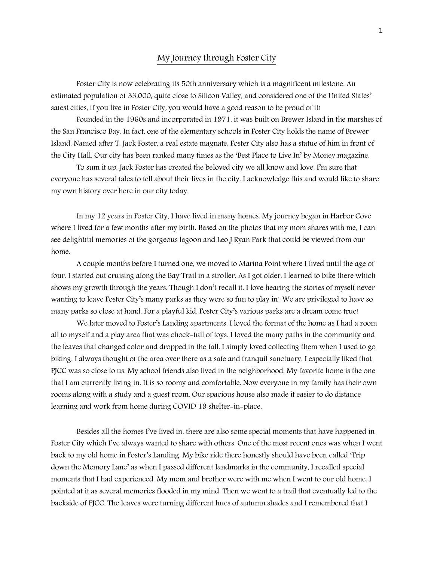## My Journey through Foster City

Foster City is now celebrating its 50th anniversary which is a magnificent milestone. An estimated population of 33,000, quite close to Silicon Valley, and considered one of the United States' safest cities, if you live in Foster City, you would have a good reason to be proud of it!

Founded in the 1960s and incorporated in 1971, it was built on Brewer Island in the marshes of the San Francisco Bay. In fact, one of the elementary schools in Foster City holds the name of Brewer Island. Named after T. Jack Foster, a real estate magnate, Foster City also has a statue of him in front of the City Hall. Our city has been ranked many times as the 'Best Place to Live In' by [Money](https://en.wikipedia.org/wiki/Money_(magazine)) magazine.

To sum it up, Jack Foster has created the beloved city we all know and love. I'm sure that everyone has several tales to tell about their lives in the city. I acknowledge this and would like to share my own history over here in our city today.

In my 12 years in Foster City, I have lived in many homes. My journey began in Harbor Cove where I lived for a few months after my birth. Based on the photos that my mom shares with me, I can see delightful memories of the gorgeous lagoon and Leo J Ryan Park that could be viewed from our home.

A couple months before I turned one, we moved to Marina Point where I lived until the age of four. I started out cruising along the Bay Trail in a stroller. As I got older, I learned to bike there which shows my growth through the years. Though I don't recall it, I love hearing the stories of myself never wanting to leave Foster City's many parks as they were so fun to play in! We are privileged to have so many parks so close at hand. For a playful kid, Foster City's various parks are a dream come true!

We later moved to Foster's Landing apartments. I loved the format of the home as I had a room all to myself and a play area that was chock-full of toys. I loved the many paths in the community and the leaves that changed color and dropped in the fall. I simply loved collecting them when I used to go biking. I always thought of the area over there as a safe and tranquil sanctuary. I especially liked that PJCC was so close to us. My school friends also lived in the neighborhood. My favorite home is the one that I am currently living in. It is so roomy and comfortable. Now everyone in my family has their own rooms along with a study and a guest room. Our spacious house also made it easier to do distance learning and work from home during COVID 19 shelter-in-place.

Besides all the homes I've lived in, there are also some special moments that have happened in Foster City which I've always wanted to share with others. One of the most recent ones was when I went back to my old home in Foster's Landing. My bike ride there honestly should have been called 'Trip down the Memory Lane' as when I passed different landmarks in the community, I recalled special moments that I had experienced. My mom and brother were with me when I went to our old home. I pointed at it as several memories flooded in my mind. Then we went to a trail that eventually led to the backside of PJCC. The leaves were turning different hues of autumn shades and I remembered that I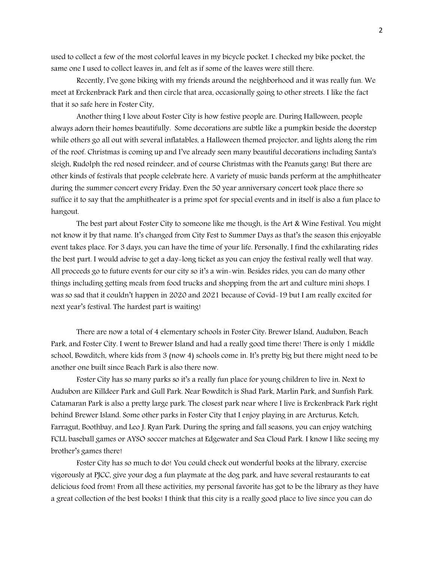used to collect a few of the most colorful leaves in my bicycle pocket. I checked my bike pocket, the same one I used to collect leaves in, and felt as if some of the leaves were still there.

Recently, I've gone biking with my friends around the neighborhood and it was really fun. We meet at Erckenbrack Park and then circle that area, occasionally going to other streets. I like the fact that it so safe here in Foster City,

Another thing I love about Foster City is how festive people are. During Halloween, people always adorn their homes beautifully. Some decorations are subtle like a pumpkin beside the doorstep while others go all out with several inflatables, a Halloween themed projector, and lights along the rim of the roof. Christmas is coming up and I've already seen many beautiful decorations including Santa's sleigh, Rudolph the red nosed reindeer, and of course Christmas with the Peanuts gang! But there are other kinds of festivals that people celebrate here. A variety of music bands perform at the amphitheater during the summer concert every Friday. Even the 50 year anniversary concert took place there so suffice it to say that the amphitheater is a prime spot for special events and in itself is also a fun place to hangout.

The best part about Foster City to someone like me though, is the Art & Wine Festival. You might not know it by that name. It's changed from City Fest to Summer Days as that's the season this enjoyable event takes place. For 3 days, you can have the time of your life. Personally, I find the exhilarating rides the best part. I would advise to get a day-long ticket as you can enjoy the festival really well that way. All proceeds go to future events for our city so it's a win-win. Besides rides, you can do many other things including getting meals from food trucks and shopping from the art and culture mini shops. I was so sad that it couldn't happen in 2020 and 2021 because of Covid-19 but I am really excited for next year's festival. The hardest part is waiting!

There are now a total of 4 elementary schools in Foster City: Brewer Island, Audubon, Beach Park, and Foster City. I went to Brewer Island and had a really good time there! There is only 1 middle school, Bowditch, where kids from 3 (now 4) schools come in. It's pretty big but there might need to be another one built since Beach Park is also there now.

Foster City has so many parks so it's a really fun place for young children to live in. Next to Audubon are Killdeer Park and Gull Park. Near Bowditch is Shad Park, Marlin Park, and Sunfish Park. Catamaran Park is also a pretty large park. The closest park near where I live is Erckenbrack Park right behind Brewer Island. Some other parks in Foster City that I enjoy playing in are Arcturus, Ketch, Farragut, Boothbay, and Leo J. Ryan Park. During the spring and fall seasons, you can enjoy watching FCLL baseball games or AYSO soccer matches at Edgewater and Sea Cloud Park. I know I like seeing my brother's games there!

Foster City has so much to do! You could check out wonderful books at the library, exercise vigorously at PJCC, give your dog a fun playmate at the dog park, and have several restaurants to eat delicious food from! From all these activities, my personal favorite has got to be the library as they have a great collection of the best books! I think that this city is a really good place to live since you can do